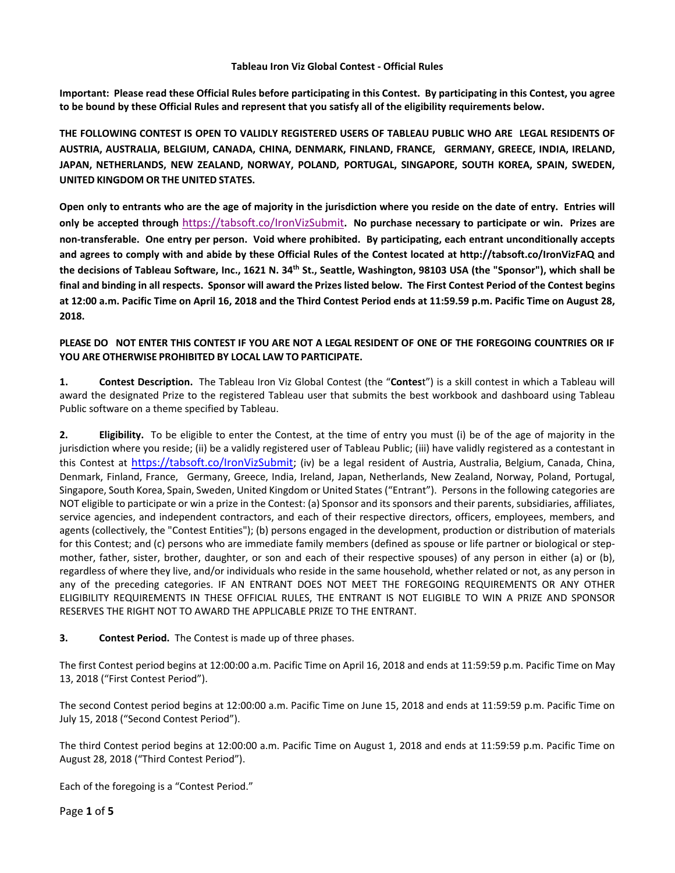### **Tableau Iron Viz Global Contest - Official Rules**

**Important: Please read these Official Rules before participating in this Contest. By participating in this Contest, you agree to be bound by these Official Rules and represent that you satisfy all of the eligibility requirements below.**

**THE FOLLOWING CONTEST IS OPEN TO VALIDLY REGISTERED USERS OF TABLEAU PUBLIC WHO ARE LEGAL RESIDENTS OF AUSTRIA, AUSTRALIA, BELGIUM, CANADA, CHINA, DENMARK, FINLAND, FRANCE, GERMANY, GREECE, INDIA, IRELAND, JAPAN, NETHERLANDS, NEW ZEALAND, NORWAY, POLAND, PORTUGAL, SINGAPORE, SOUTH KOREA, SPAIN, SWEDEN, UNITED KINGDOM OR THE UNITED STATES.**

**Open only to entrants who are the age of majority in the jurisdiction where you reside on the date of entry. Entries will only be accepted through** <https://tabsoft.co/IronVizSubmit>**. No purchase necessary to participate or win. Prizes are non-transferable. One entry per person. Void where prohibited. By participating, each entrant unconditionally accepts and agrees to comply with and abide by these Official Rules of the Contest located at http://tabsoft.co/IronVizFAQ and the decisions of Tableau Software, Inc., 1621 N. 34th St., Seattle, Washington, 98103 USA (the "Sponsor"), which shall be final and binding in all respects. Sponsor will award the Prizes listed below. The First Contest Period of the Contest begins at 12:00 a.m. Pacific Time on April 16, 2018 and the Third Contest Period ends at 11:59.59 p.m. Pacific Time on August 28, 2018.** 

# **PLEASE DO NOT ENTER THIS CONTEST IF YOU ARE NOT A LEGAL RESIDENT OF ONE OF THE FOREGOING COUNTRIES OR IF YOU ARE OTHERWISE PROHIBITED BY LOCAL LAW TO PARTICIPATE.**

**1. Contest Description.** The Tableau Iron Viz Global Contest (the "**Contes**t") is a skill contest in which a Tableau will award the designated Prize to the registered Tableau user that submits the best workbook and dashboard using Tableau Public software on a theme specified by Tableau.

**2. Eligibility.** To be eligible to enter the Contest, at the time of entry you must (i) be of the age of majority in the jurisdiction where you reside; (ii) be a validly registered user of Tableau Public; (iii) have validly registered as a contestant in this Contest at [https://tabsoft.co/IronVizSubmit;](https://tabsoft.co/IronVizSubmit) (iv) be a legal resident of Austria, Australia, Belgium, Canada, China, Denmark, Finland, France, Germany, Greece, India, Ireland, Japan, Netherlands, New Zealand, Norway, Poland, Portugal, Singapore, South Korea, Spain, Sweden, United Kingdom or United States ("Entrant"). Persons in the following categories are NOT eligible to participate or win a prize in the Contest: (a) Sponsor and its sponsors and their parents, subsidiaries, affiliates, service agencies, and independent contractors, and each of their respective directors, officers, employees, members, and agents (collectively, the "Contest Entities"); (b) persons engaged in the development, production or distribution of materials for this Contest; and (c) persons who are immediate family members (defined as spouse or life partner or biological or stepmother, father, sister, brother, daughter, or son and each of their respective spouses) of any person in either (a) or (b), regardless of where they live, and/or individuals who reside in the same household, whether related or not, as any person in any of the preceding categories. IF AN ENTRANT DOES NOT MEET THE FOREGOING REQUIREMENTS OR ANY OTHER ELIGIBILITY REQUIREMENTS IN THESE OFFICIAL RULES, THE ENTRANT IS NOT ELIGIBLE TO WIN A PRIZE AND SPONSOR RESERVES THE RIGHT NOT TO AWARD THE APPLICABLE PRIZE TO THE ENTRANT.

# **3. Contest Period.** The Contest is made up of three phases.

The first Contest period begins at 12:00:00 a.m. Pacific Time on April 16, 2018 and ends at 11:59:59 p.m. Pacific Time on May 13, 2018 ("First Contest Period").

The second Contest period begins at 12:00:00 a.m. Pacific Time on June 15, 2018 and ends at 11:59:59 p.m. Pacific Time on July 15, 2018 ("Second Contest Period").

The third Contest period begins at 12:00:00 a.m. Pacific Time on August 1, 2018 and ends at 11:59:59 p.m. Pacific Time on August 28, 2018 ("Third Contest Period").

Each of the foregoing is a "Contest Period."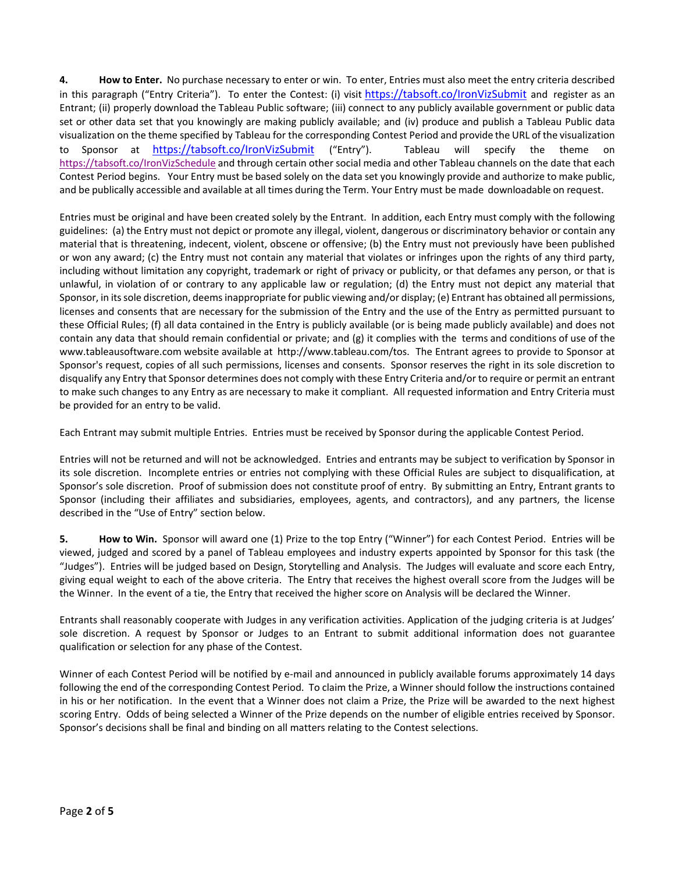**4. How to Enter.** No purchase necessary to enter or win. To enter, Entries must also meet the entry criteria described in this paragraph ("Entry Criteria"). To enter the Contest: (i) visit <https://tabsoft.co/IronVizSubmit> and register as an Entrant; (ii) properly download the Tableau Public software; (iii) connect to any publicly available government or public data set or other data set that you knowingly are making publicly available; and (iv) produce and publish a Tableau Public data visualization on the theme specified by Tableau for the corresponding Contest Period and provide the URL of the visualization to Sponsor at <https://tabsoft.co/IronVizSubmit> ("Entry"). Tableau will specify the theme on <https://tabsoft.co/IronVizSchedule> and through certain other social media and other Tableau channels on the date that each Contest Period begins. Your Entry must be based solely on the data set you knowingly provide and authorize to make public, and be publically accessible and available at all times during the Term. Your Entry must be made downloadable on request.

Entries must be original and have been created solely by the Entrant. In addition, each Entry must comply with the following guidelines: (a) the Entry must not depict or promote any illegal, violent, dangerous or discriminatory behavior or contain any material that is threatening, indecent, violent, obscene or offensive; (b) the Entry must not previously have been published or won any award; (c) the Entry must not contain any material that violates or infringes upon the rights of any third party, including without limitation any copyright, trademark or right of privacy or publicity, or that defames any person, or that is unlawful, in violation of or contrary to any applicable law or regulation; (d) the Entry must not depict any material that Sponsor, in its sole discretion, deems inappropriate for public viewing and/or display; (e) Entrant has obtained all permissions, licenses and consents that are necessary for the submission of the Entry and the use of the Entry as permitted pursuant to these Official Rules; (f) all data contained in the Entry is publicly available (or is being made publicly available) and does not contain any data that should remain confidential or private; and (g) it complies with the terms and conditions of use of the [www.tableausoftware.com](http://www.tableausoftware.com/) website available at [http://www.tableau.com/tos.](http://www.tableau.com/tos) The Entrant agrees to provide to Sponsor at Sponsor's request, copies of all such permissions, licenses and consents. Sponsor reserves the right in its sole discretion to disqualify any Entry that Sponsor determines does not comply with these Entry Criteria and/or to require or permit an entrant to make such changes to any Entry as are necessary to make it compliant. All requested information and Entry Criteria must be provided for an entry to be valid.

Each Entrant may submit multiple Entries. Entries must be received by Sponsor during the applicable Contest Period.

Entries will not be returned and will not be acknowledged. Entries and entrants may be subject to verification by Sponsor in its sole discretion. Incomplete entries or entries not complying with these Official Rules are subject to disqualification, at Sponsor's sole discretion. Proof of submission does not constitute proof of entry. By submitting an Entry, Entrant grants to Sponsor (including their affiliates and subsidiaries, employees, agents, and contractors), and any partners, the license described in the "Use of Entry" section below.

**5. How to Win.** Sponsor will award one (1) Prize to the top Entry ("Winner") for each Contest Period. Entries will be viewed, judged and scored by a panel of Tableau employees and industry experts appointed by Sponsor for this task (the "Judges"). Entries will be judged based on Design, Storytelling and Analysis. The Judges will evaluate and score each Entry, giving equal weight to each of the above criteria. The Entry that receives the highest overall score from the Judges will be the Winner. In the event of a tie, the Entry that received the higher score on Analysis will be declared the Winner.

Entrants shall reasonably cooperate with Judges in any verification activities. Application of the judging criteria is at Judges' sole discretion. A request by Sponsor or Judges to an Entrant to submit additional information does not guarantee qualification or selection for any phase of the Contest.

Winner of each Contest Period will be notified by e-mail and announced in publicly available forums approximately 14 days following the end of the corresponding Contest Period. To claim the Prize, a Winner should follow the instructions contained in his or her notification. In the event that a Winner does not claim a Prize, the Prize will be awarded to the next highest scoring Entry. Odds of being selected a Winner of the Prize depends on the number of eligible entries received by Sponsor. Sponsor's decisions shall be final and binding on all matters relating to the Contest selections.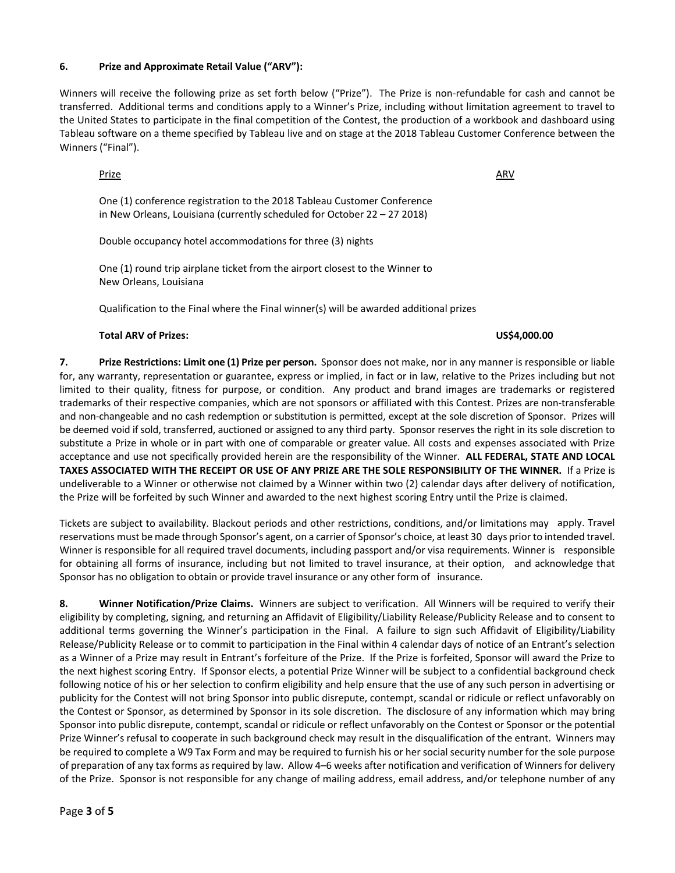# **6. Prize and Approximate Retail Value ("ARV"):**

Winners will receive the following prize as set forth below ("Prize"). The Prize is non-refundable for cash and cannot be transferred. Additional terms and conditions apply to a Winner's Prize, including without limitation agreement to travel to the United States to participate in the final competition of the Contest, the production of a workbook and dashboard using Tableau software on a theme specified by Tableau live and on stage at the 2018 Tableau Customer Conference between the Winners ("Final").

#### <u>Prize</u> ARV **ARV** ARV **ARV** ARV **ARV** ARV **ARV**

One (1) conference registration to the 2018 Tableau Customer Conference in New Orleans, Louisiana (currently scheduled for October 22 – 27 2018)

Double occupancy hotel accommodations for three (3) nights

One (1) round trip airplane ticket from the airport closest to the Winner to New Orleans, Louisiana

Qualification to the Final where the Final winner(s) will be awarded additional prizes

### **Total ARV of Prizes: US\$4,000.00**

**7. Prize Restrictions: Limit one (1) Prize per person.** Sponsor does not make, nor in any manner is responsible or liable for, any warranty, representation or guarantee, express or implied, in fact or in law, relative to the Prizes including but not limited to their quality, fitness for purpose, or condition. Any product and brand images are trademarks or registered trademarks of their respective companies, which are not sponsors or affiliated with this Contest. Prizes are non-transferable and non-changeable and no cash redemption or substitution is permitted, except at the sole discretion of Sponsor. Prizes will be deemed void if sold, transferred, auctioned or assigned to any third party. Sponsor reserves the right in its sole discretion to substitute a Prize in whole or in part with one of comparable or greater value. All costs and expenses associated with Prize acceptance and use not specifically provided herein are the responsibility of the Winner. **ALL FEDERAL, STATE AND LOCAL TAXES ASSOCIATED WITH THE RECEIPT OR USE OF ANY PRIZE ARE THE SOLE RESPONSIBILITY OF THE WINNER.** If a Prize is undeliverable to a Winner or otherwise not claimed by a Winner within two (2) calendar days after delivery of notification, the Prize will be forfeited by such Winner and awarded to the next highest scoring Entry until the Prize is claimed.

Tickets are subject to availability. Blackout periods and other restrictions, conditions, and/or limitations may apply. Travel reservations must be made through Sponsor's agent, on a carrier of Sponsor's choice, at least 30 days prior to intended travel. Winner is responsible for all required travel documents, including passport and/or visa requirements. Winner is responsible for obtaining all forms of insurance, including but not limited to travel insurance, at their option, and acknowledge that Sponsor has no obligation to obtain or provide travel insurance or any other form of insurance.

**8. Winner Notification/Prize Claims.** Winners are subject to verification. All Winners will be required to verify their eligibility by completing, signing, and returning an Affidavit of Eligibility/Liability Release/Publicity Release and to consent to additional terms governing the Winner's participation in the Final. A failure to sign such Affidavit of Eligibility/Liability Release/Publicity Release or to commit to participation in the Final within 4 calendar days of notice of an Entrant's selection as a Winner of a Prize may result in Entrant's forfeiture of the Prize. If the Prize is forfeited, Sponsor will award the Prize to the next highest scoring Entry. If Sponsor elects, a potential Prize Winner will be subject to a confidential background check following notice of his or her selection to confirm eligibility and help ensure that the use of any such person in advertising or publicity for the Contest will not bring Sponsor into public disrepute, contempt, scandal or ridicule or reflect unfavorably on the Contest or Sponsor, as determined by Sponsor in its sole discretion. The disclosure of any information which may bring Sponsor into public disrepute, contempt, scandal or ridicule or reflect unfavorably on the Contest or Sponsor or the potential Prize Winner's refusal to cooperate in such background check may result in the disqualification of the entrant. Winners may be required to complete a W9 Tax Form and may be required to furnish his or her social security number for the sole purpose of preparation of any tax forms as required by law. Allow 4–6 weeks after notification and verification of Winners for delivery of the Prize. Sponsor is not responsible for any change of mailing address, email address, and/or telephone number of any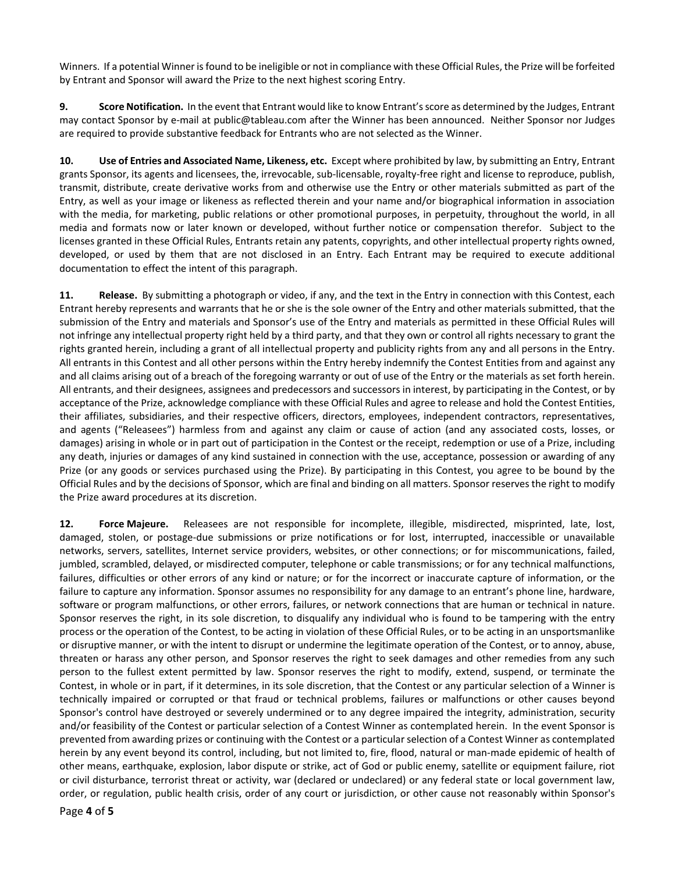Winners. If a potential Winner is found to be ineligible or not in compliance with these Official Rules, the Prize will be forfeited by Entrant and Sponsor will award the Prize to the next highest scoring Entry.

**9. Score Notification.** In the event that Entrant would like to know Entrant's score as determined by the Judges, Entrant may contact Sponsor by e-mail at public@tableau.com after the Winner has been announced. Neither Sponsor nor Judges are required to provide substantive feedback for Entrants who are not selected as the Winner.

**10. Use of Entries and Associated Name, Likeness, etc.** Except where prohibited by law, by submitting an Entry, Entrant grants Sponsor, its agents and licensees, the, irrevocable, sub-licensable, royalty-free right and license to reproduce, publish, transmit, distribute, create derivative works from and otherwise use the Entry or other materials submitted as part of the Entry, as well as your image or likeness as reflected therein and your name and/or biographical information in association with the media, for marketing, public relations or other promotional purposes, in perpetuity, throughout the world, in all media and formats now or later known or developed, without further notice or compensation therefor. Subject to the licenses granted in these Official Rules, Entrants retain any patents, copyrights, and other intellectual property rights owned, developed, or used by them that are not disclosed in an Entry. Each Entrant may be required to execute additional documentation to effect the intent of this paragraph.

**11. Release.** By submitting a photograph or video, if any, and the text in the Entry in connection with this Contest, each Entrant hereby represents and warrants that he or she is the sole owner of the Entry and other materials submitted, that the submission of the Entry and materials and Sponsor's use of the Entry and materials as permitted in these Official Rules will not infringe any intellectual property right held by a third party, and that they own or control all rights necessary to grant the rights granted herein, including a grant of all intellectual property and publicity rights from any and all persons in the Entry. All entrants in this Contest and all other persons within the Entry hereby indemnify the Contest Entities from and against any and all claims arising out of a breach of the foregoing warranty or out of use of the Entry or the materials as set forth herein. All entrants, and their designees, assignees and predecessors and successors in interest, by participating in the Contest, or by acceptance of the Prize, acknowledge compliance with these Official Rules and agree to release and hold the Contest Entities, their affiliates, subsidiaries, and their respective officers, directors, employees, independent contractors, representatives, and agents ("Releasees") harmless from and against any claim or cause of action (and any associated costs, losses, or damages) arising in whole or in part out of participation in the Contest or the receipt, redemption or use of a Prize, including any death, injuries or damages of any kind sustained in connection with the use, acceptance, possession or awarding of any Prize (or any goods or services purchased using the Prize). By participating in this Contest, you agree to be bound by the Official Rules and by the decisions of Sponsor, which are final and binding on all matters. Sponsor reserves the right to modify the Prize award procedures at its discretion.

**12. Force Majeure.** Releasees are not responsible for incomplete, illegible, misdirected, misprinted, late, lost, damaged, stolen, or postage-due submissions or prize notifications or for lost, interrupted, inaccessible or unavailable networks, servers, satellites, Internet service providers, websites, or other connections; or for miscommunications, failed, jumbled, scrambled, delayed, or misdirected computer, telephone or cable transmissions; or for any technical malfunctions, failures, difficulties or other errors of any kind or nature; or for the incorrect or inaccurate capture of information, or the failure to capture any information. Sponsor assumes no responsibility for any damage to an entrant's phone line, hardware, software or program malfunctions, or other errors, failures, or network connections that are human or technical in nature. Sponsor reserves the right, in its sole discretion, to disqualify any individual who is found to be tampering with the entry process or the operation of the Contest, to be acting in violation of these Official Rules, or to be acting in an unsportsmanlike or disruptive manner, or with the intent to disrupt or undermine the legitimate operation of the Contest, or to annoy, abuse, threaten or harass any other person, and Sponsor reserves the right to seek damages and other remedies from any such person to the fullest extent permitted by law. Sponsor reserves the right to modify, extend, suspend, or terminate the Contest, in whole or in part, if it determines, in its sole discretion, that the Contest or any particular selection of a Winner is technically impaired or corrupted or that fraud or technical problems, failures or malfunctions or other causes beyond Sponsor's control have destroyed or severely undermined or to any degree impaired the integrity, administration, security and/or feasibility of the Contest or particular selection of a Contest Winner as contemplated herein. In the event Sponsor is prevented from awarding prizes or continuing with the Contest or a particular selection of a Contest Winner as contemplated herein by any event beyond its control, including, but not limited to, fire, flood, natural or man-made epidemic of health of other means, earthquake, explosion, labor dispute or strike, act of God or public enemy, satellite or equipment failure, riot or civil disturbance, terrorist threat or activity, war (declared or undeclared) or any federal state or local government law, order, or regulation, public health crisis, order of any court or jurisdiction, or other cause not reasonably within Sponsor's